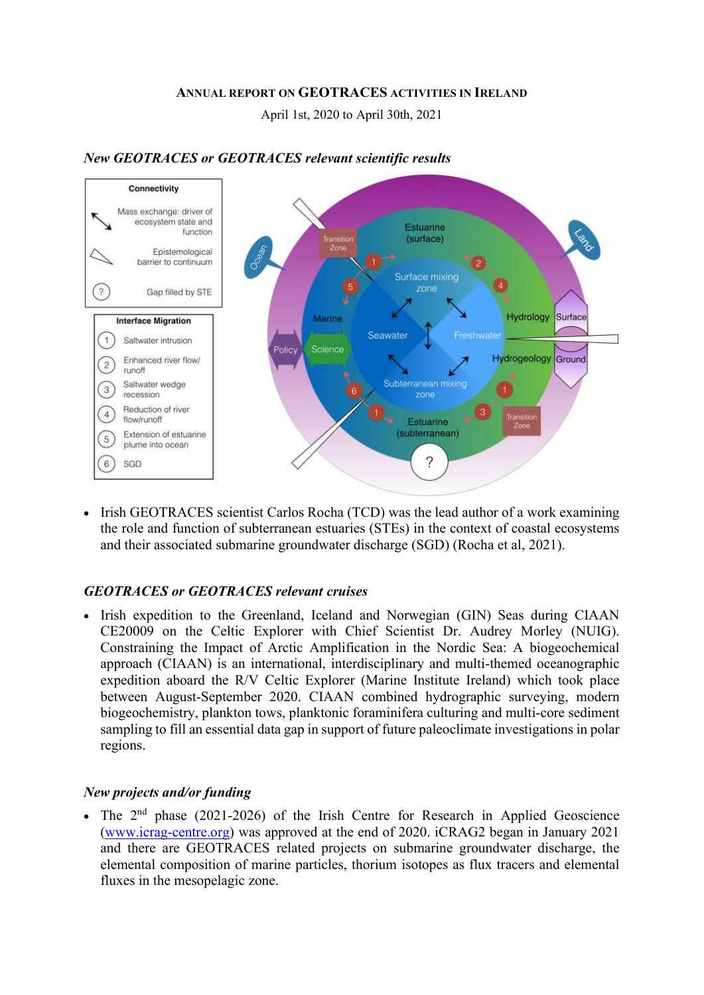#### ANNUAL REPORT ON GEOTRACES ACTIVITIES IN IRELAND

April 1st, 2020 to April 30th, 2021



#### New GEOTRACES or GEOTRACES relevant scientific results

• Irish GEOTRACES scientist Carlos Rocha (TCD) was the lead author of a work examining the role and function of subterranean estuaries (STEs) in the context of coastal ecosystems and their associated submarine groundwater discharge (SGD) (Rocha et al, 2021).

### GEOTRACES or GEOTRACES relevant cruises

• Irish expedition to the Greenland, Iceland and Norwegian (GIN) Seas during CIAAN CE20009 on the Celtic Explorer with Chief Scientist Dr. Audrey Morley (NUIG). Constraining the Impact of Arctic Amplification in the Nordic Sea: A biogeochemical approach (CIAAN) is an international, interdisciplinary and multi-themed oceanographic expedition aboard the R/V Celtic Explorer (Marine Institute Ireland) which took place between August-September 2020. CIAAN combined hydrographic surveying, modern biogeochemistry, plankton tows, planktonic foraminifera culturing and multi-core sediment sampling to fill an essential data gap in support of future paleoclimate investigations in polar regions.

### New projects and/or funding

• The  $2<sup>nd</sup>$  phase (2021-2026) of the Irish Centre for Research in Applied Geoscience (www.icrag-centre.org) was approved at the end of 2020. iCRAG2 began in January 2021 and there are GEOTRACES related projects on submarine groundwater discharge, the elemental composition of marine particles, thorium isotopes as flux tracers and elemental fluxes in the mesopelagic zone.